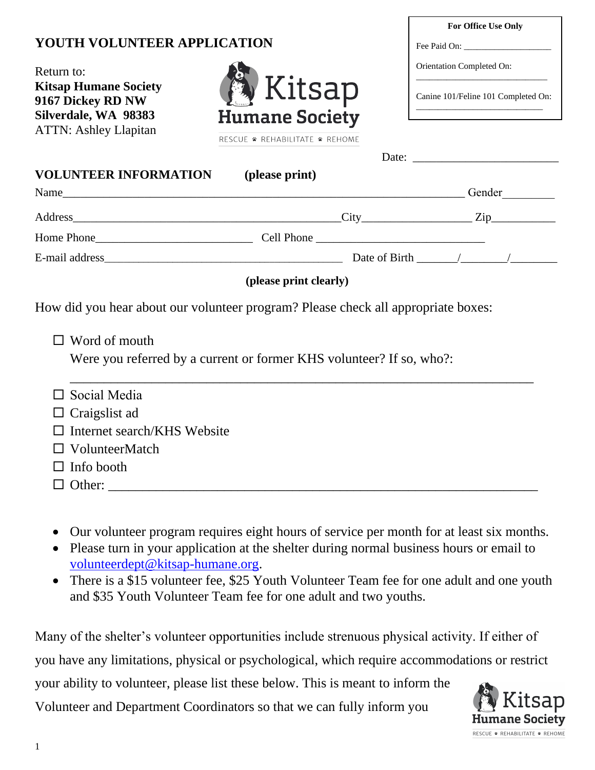# **YOUTH VOLUNTEER APPLICATION**

Return to: **Kitsap Humane Society 9167 Dickey RD NW Silverdale, WA 98383** ATTN: Ashley Llapitan



RESCUE \* REHABILITATE \* REHOME

| <b>VOLUNTEER INFORMATION</b> (please print) |                                                                                   |
|---------------------------------------------|-----------------------------------------------------------------------------------|
|                                             | Gender                                                                            |
|                                             |                                                                                   |
|                                             |                                                                                   |
|                                             |                                                                                   |
|                                             | (please print clearly)                                                            |
|                                             |                                                                                   |
|                                             |                                                                                   |
|                                             | How did you hear about our volunteer program? Please check all appropriate boxes: |
| $\Box$ Word of mouth                        |                                                                                   |
|                                             | Were you referred by a current or former KHS volunteer? If so, who?:              |
|                                             |                                                                                   |
| Social Media                                |                                                                                   |
| Craigslist ad                               |                                                                                   |
| Internet search/KHS Website                 |                                                                                   |
| $\Box$ VolunteerMatch                       |                                                                                   |
| $\Box$ Info booth                           |                                                                                   |

- Our volunteer program requires eight hours of service per month for at least six months.
- Please turn in your application at the shelter during normal business hours or email to [volunteerdept@kitsap-humane.org.](mailto:volunteerdept@kitsap-humane.org)
- There is a \$15 volunteer fee, \$25 Youth Volunteer Team fee for one adult and one youth and \$35 Youth Volunteer Team fee for one adult and two youths.

Many of the shelter's volunteer opportunities include strenuous physical activity. If either of you have any limitations, physical or psychological, which require accommodations or restrict your ability to volunteer, please list these below. This is meant to inform the Volunteer and Department Coordinators so that we can fully inform you



**For Office Use Only**

\_\_\_\_\_\_\_\_\_\_\_\_\_\_\_\_\_\_\_\_\_\_\_\_\_\_\_\_\_\_ Canine 101/Feline 101 Completed On: \_\_\_\_\_\_\_\_\_\_\_\_\_\_\_\_\_\_\_\_\_\_\_\_\_\_\_\_\_

Fee Paid On:

Orientation Completed On: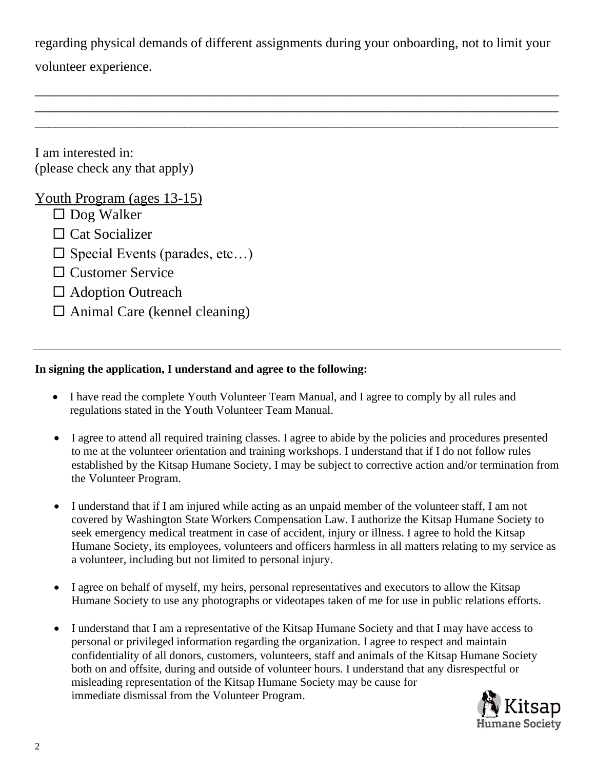regarding physical demands of different assignments during your onboarding, not to limit your

\_\_\_\_\_\_\_\_\_\_\_\_\_\_\_\_\_\_\_\_\_\_\_\_\_\_\_\_\_\_\_\_\_\_\_\_\_\_\_\_\_\_\_\_\_\_\_\_\_\_\_\_\_\_\_\_\_\_\_\_\_\_\_\_\_\_\_\_\_\_\_\_\_\_\_\_\_ \_\_\_\_\_\_\_\_\_\_\_\_\_\_\_\_\_\_\_\_\_\_\_\_\_\_\_\_\_\_\_\_\_\_\_\_\_\_\_\_\_\_\_\_\_\_\_\_\_\_\_\_\_\_\_\_\_\_\_\_\_\_\_\_\_\_\_\_\_\_\_\_\_\_\_\_\_ \_\_\_\_\_\_\_\_\_\_\_\_\_\_\_\_\_\_\_\_\_\_\_\_\_\_\_\_\_\_\_\_\_\_\_\_\_\_\_\_\_\_\_\_\_\_\_\_\_\_\_\_\_\_\_\_\_\_\_\_\_\_\_\_\_\_\_\_\_\_\_\_\_\_\_\_\_

volunteer experience.

I am interested in: (please check any that apply)

# Youth Program (ages 13-15)

- $\Box$  Dog Walker
- $\Box$  Cat Socializer
- $\square$  Special Events (parades, etc...)
- $\square$  Customer Service
- □ Adoption Outreach
- $\Box$  Animal Care (kennel cleaning)

## **In signing the application, I understand and agree to the following:**

- I have read the complete Youth Volunteer Team Manual, and I agree to comply by all rules and regulations stated in the Youth Volunteer Team Manual.
- I agree to attend all required training classes. I agree to abide by the policies and procedures presented to me at the volunteer orientation and training workshops. I understand that if I do not follow rules established by the Kitsap Humane Society, I may be subject to corrective action and/or termination from the Volunteer Program.
- I understand that if I am injured while acting as an unpaid member of the volunteer staff, I am not covered by Washington State Workers Compensation Law. I authorize the Kitsap Humane Society to seek emergency medical treatment in case of accident, injury or illness. I agree to hold the Kitsap Humane Society, its employees, volunteers and officers harmless in all matters relating to my service as a volunteer, including but not limited to personal injury.
- I agree on behalf of myself, my heirs, personal representatives and executors to allow the Kitsap Humane Society to use any photographs or videotapes taken of me for use in public relations efforts.
- I understand that I am a representative of the Kitsap Humane Society and that I may have access to personal or privileged information regarding the organization. I agree to respect and maintain confidentiality of all donors, customers, volunteers, staff and animals of the Kitsap Humane Society both on and offsite, during and outside of volunteer hours. I understand that any disrespectful or misleading representation of the Kitsap Humane Society may be cause for immediate dismissal from the Volunteer Program.